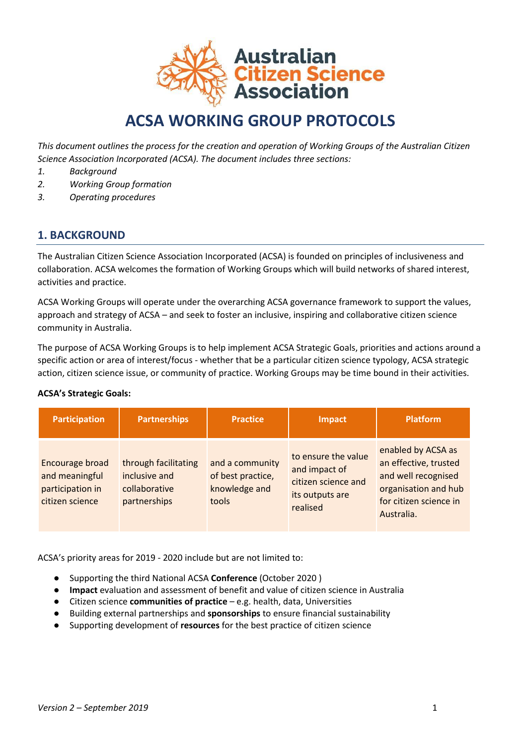

# **ACSA WORKING GROUP PROTOCOLS**

*This document outlines the process for the creation and operation of Working Groups of the Australian Citizen Science Association Incorporated (ACSA). The document includes three sections:*

- *1. Background*
- *2. Working Group formation*
- *3. Operating procedures*

# **1. BACKGROUND**

The Australian Citizen Science Association Incorporated (ACSA) is founded on principles of inclusiveness and collaboration. ACSA welcomes the formation of Working Groups which will build networks of shared interest, activities and practice.

ACSA Working Groups will operate under the overarching ACSA governance framework to support the values, approach and strategy of ACSA – and seek to foster an inclusive, inspiring and collaborative citizen science community in Australia.

The purpose of ACSA Working Groups is to help implement ACSA Strategic Goals, priorities and actions around a specific action or area of interest/focus - whether that be a particular citizen science typology, ACSA strategic action, citizen science issue, or community of practice. Working Groups may be time bound in their activities.

#### **ACSA's Strategic Goals:**

| <b>Participation</b>                                                     | <b>Partnerships</b>                                                    | <b>Practice</b>                                                | <b>Impact</b>                                                                              | <b>Platform</b>                                                                                                                    |
|--------------------------------------------------------------------------|------------------------------------------------------------------------|----------------------------------------------------------------|--------------------------------------------------------------------------------------------|------------------------------------------------------------------------------------------------------------------------------------|
| Encourage broad<br>and meaningful<br>participation in<br>citizen science | through facilitating<br>inclusive and<br>collaborative<br>partnerships | and a community<br>of best practice,<br>knowledge and<br>tools | to ensure the value<br>and impact of<br>citizen science and<br>its outputs are<br>realised | enabled by ACSA as<br>an effective, trusted<br>and well recognised<br>organisation and hub<br>for citizen science in<br>Australia. |

ACSA's priority areas for 2019 - 2020 include but are not limited to:

- Supporting the third National ACSA **Conference** (October 2020 )
- **Impact** evaluation and assessment of benefit and value of citizen science in Australia
- Citizen science **communities of practice** e.g. health, data, Universities
- Building external partnerships and **sponsorships** to ensure financial sustainability
- Supporting development of **resources** for the best practice of citizen science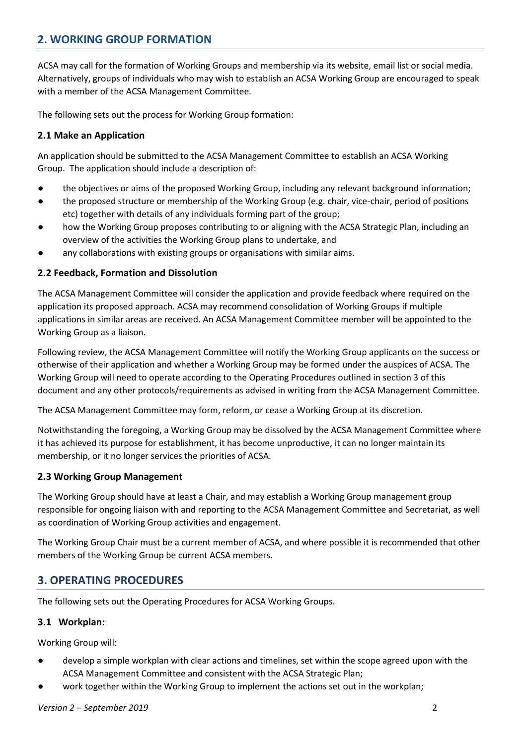# **2. WORKING GROUP FORMATION**

ACSA may call for the formation of Working Groups and membership via its website, email list or social media. Alternatively, groups of individuals who may wish to establish an ACSA Working Group are encouraged to speak with a member of the ACSA Management Committee.

The following sets out the process for Working Group formation:

## **2.1 Make an Application**

An application should be submitted to the ACSA Management Committee to establish an ACSA Working Group. The application should include a description of:

- the objectives or aims of the proposed Working Group, including any relevant background information;
- the proposed structure or membership of the Working Group (e.g. chair, vice-chair, period of positions etc) together with details of any individuals forming part of the group;
- how the Working Group proposes contributing to or aligning with the ACSA Strategic Plan, including an overview of the activities the Working Group plans to undertake, and
- any collaborations with existing groups or organisations with similar aims.

#### **2.2 Feedback, Formation and Dissolution**

The ACSA Management Committee will consider the application and provide feedback where required on the application its proposed approach. ACSA may recommend consolidation of Working Groups if multiple applications in similar areas are received. An ACSA Management Committee member will be appointed to the Working Group as a liaison.

Following review, the ACSA Management Committee will notify the Working Group applicants on the success or otherwise of their application and whether a Working Group may be formed under the auspices of ACSA. The Working Group will need to operate according to the Operating Procedures outlined in section 3 of this document and any other protocols/requirements as advised in writing from the ACSA Management Committee.

The ACSA Management Committee may form, reform, or cease a Working Group at its discretion.

Notwithstanding the foregoing, a Working Group may be dissolved by the ACSA Management Committee where it has achieved its purpose for establishment, it has become unproductive, it can no longer maintain its membership, or it no longer services the priorities of ACSA.

## **2.3 Working Group Management**

The Working Group should have at least a Chair, and may establish a Working Group management group responsible for ongoing liaison with and reporting to the ACSA Management Committee and Secretariat, as well as coordination of Working Group activities and engagement.

The Working Group Chair must be a current member of ACSA, and where possible it is recommended that other members of the Working Group be current ACSA members.

# **3. OPERATING PROCEDURES**

The following sets out the Operating Procedures for ACSA Working Groups.

## **3.1 Workplan:**

Working Group will:

- develop a simple workplan with clear actions and timelines, set within the scope agreed upon with the ACSA Management Committee and consistent with the ACSA Strategic Plan;
- work together within the Working Group to implement the actions set out in the workplan;